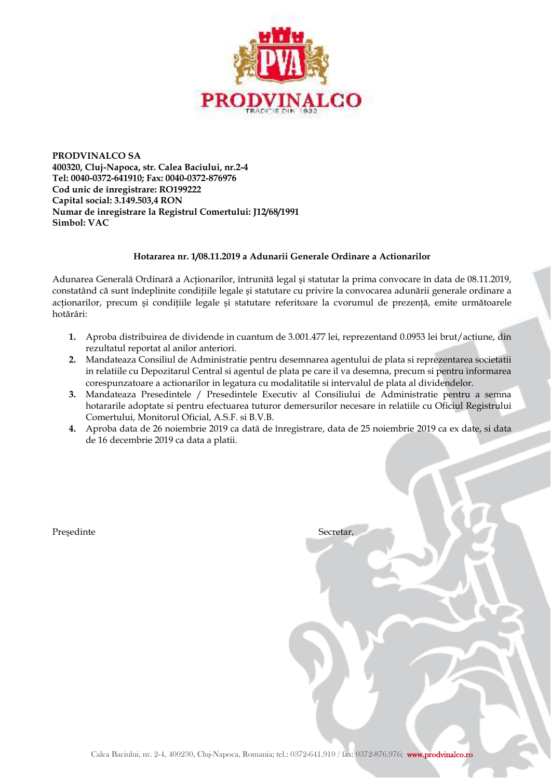

**PRODVINALCO SA 400320, Cluj-Napoca, str. Calea Baciului, nr.2-4 Tel: 0040-0372-641910; Fax: 0040-0372-876976 Cod unic de înregistrare: RO199222 Capital social: 3.149.503,4 RON Numar de inregistrare la Registrul Comertului: J12/68/1991 Simbol: VAC** 

## **Hotararea nr. 1/08.11.2019 a Adunarii Generale Ordinare a Actionarilor**

Adunarea Generală Ordinară a Actionarilor, întrunită legal și statutar la prima convocare în data de 08.11.2019, constatând că sunt îndeplinite conditiile legale și statutare cu privire la convocarea adunării generale ordinare a acționarilor, precum și condițiile legale și statutare referitoare la cvorumul de prezență, emite următoarele hotărâri:

- **1.** Aproba distribuirea de dividende in cuantum de 3.001.477 lei, reprezentand 0.0953 lei brut/actiune, din rezultatul reportat al anilor anteriori.
- **2.** Mandateaza Consiliul de Administratie pentru desemnarea agentului de plata si reprezentarea societatii in relatiile cu Depozitarul Central si agentul de plata pe care il va desemna, precum si pentru informarea corespunzatoare a actionarilor in legatura cu modalitatile si intervalul de plata al dividendelor.
- **3.** Mandateaza Presedintele / Presedintele Executiv al Consiliului de Administratie pentru a semna hotararile adoptate si pentru efectuarea tuturor demersurilor necesare in relatiile cu Oficiul Registrului Comertului, Monitorul Oficial, A.S.F. si B.V.B.
- **4.** Aproba data de 26 noiembrie 2019 ca datã de înregistrare, data de 25 noiembrie 2019 ca ex date, si data de 16 decembrie 2019 ca data a platii.

Președinte Secretar,